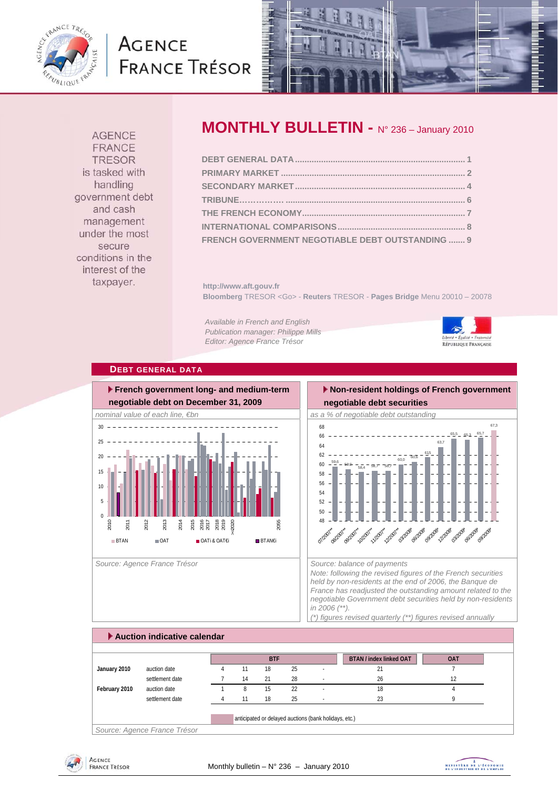

# **AGENCE FRANCE TRÉSOR**



**AGENCE FRANCE TRESOR** is tasked with handling government debt and cash management under the most secure conditions in the interest of the taxpayer.

# **MONTHLY BULLETIN -** N° 236 – January 2010

| FRENCH GOVERNMENT NEGOTIABLE DEBT OUTSTANDING  9 |
|--------------------------------------------------|

**http://www.aft.gouv.fr Bloomberg** TRESOR <Go> - **Reuters** TRESOR - **Pages Bridge** Menu 20010 – 20078

*Available in French and English Publication manager: Philippe Mills Editor: Agence France Trésor* 



#### **DEBT GENERAL DATA**



Source: Agence France Trésor **Source: balance of payments** Source: balance of payments

### **Non-resident holdings of French government negotiable debt securities**



*Note: following the revised figures of the French securities held by non-residents at the end of 2006, the Banque de France has readjusted the outstanding amount related to the negotiable Government debt securities held by non-residents in 2006 (\*\*). (\*) figures revised quarterly (\*\*) figures revised annually* 

 **Auction indicative calendar BTAN / index linked OAT OAT January 2010** auction date 4 11 18 25 - 21 7 settlement date  $\begin{array}{ccc} 7 & 14 & 21 & 28 & - & 26 \end{array}$  26 26 **February 2010** auction date 1 8 15 22 - 18 18 4 settlement date 14 11 18 25 - 23 23 9 anticipated or delayed auctions (bank holidays, etc.) **BTF**

*Source: Agence France Trésor* 

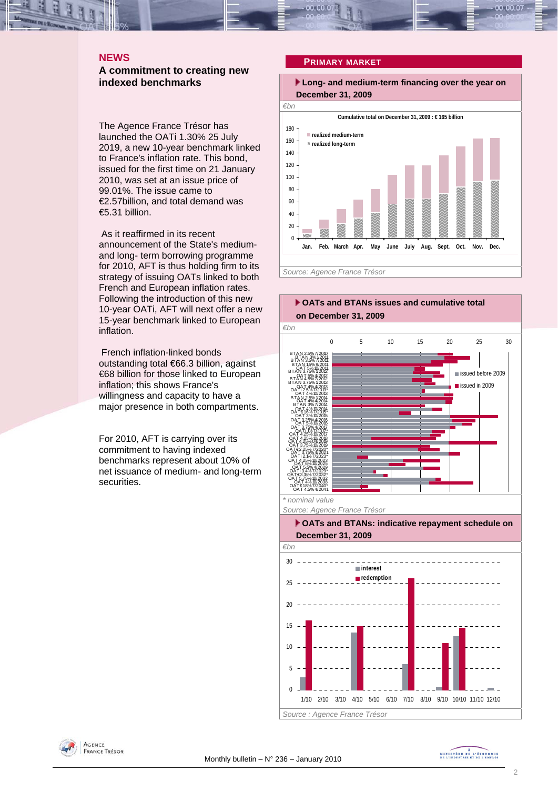### **NEWS**

**A commitment to creating new indexed benchmarks** 

The Agence France Trésor has launched the OATi 1.30% 25 July 2019, a new 10-year benchmark linked to France's inflation rate. This bond, issued for the first time on 21 January 2010, was set at an issue price of 99.01%. The issue came to €2.57billion, and total demand was €5.31 billion.

 As it reaffirmed in its recent announcement of the State's mediumand long- term borrowing programme for 2010, AFT is thus holding firm to its strategy of issuing OATs linked to both French and European inflation rates. Following the introduction of this new 10-year OATi, AFT will next offer a new 15-year benchmark linked to European inflation.

 French inflation-linked bonds outstanding total €66.3 billion, against €68 billion for those linked to European inflation; this shows France's willingness and capacity to have a major presence in both compartments.

For 2010, AFT is carrying over its commitment to having indexed benchmarks represent about 10% of net issuance of medium- and long-term securities.

#### **PRIMARY MARKET**

 **Long- and medium-term financing over the year on December 31, 2009** 





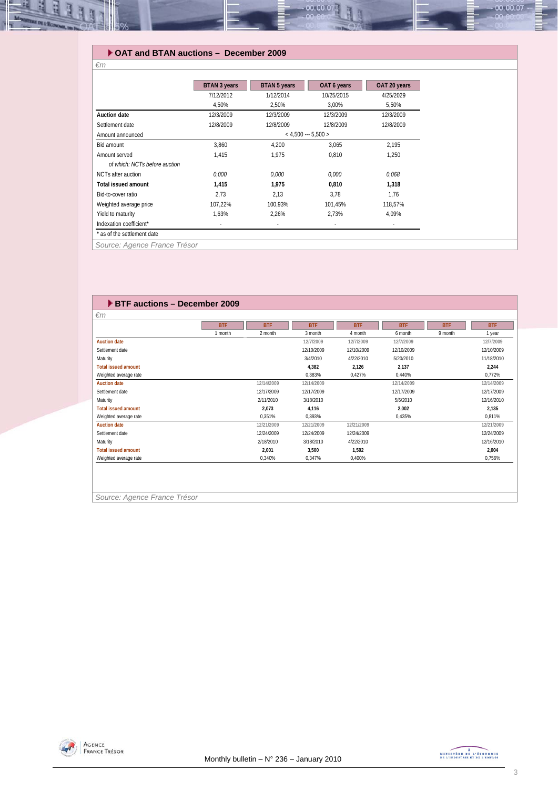

# **OAT and BTAN auctions – December 2009**

*€m* 

| 4/25/2029<br>5,50%<br>12/3/2009<br>12/8/2009<br>2,195 |
|-------------------------------------------------------|
|                                                       |
|                                                       |
|                                                       |
|                                                       |
|                                                       |
|                                                       |
| 1,250                                                 |
|                                                       |
| 0,068                                                 |
| 1,318                                                 |
| 1,76                                                  |
| 118,57%                                               |
| 4,09%                                                 |
|                                                       |
|                                                       |
|                                                       |

| <b>BTF auctions - December 2009</b> |            |            |            |            |            |            |            |  |  |  |
|-------------------------------------|------------|------------|------------|------------|------------|------------|------------|--|--|--|
| $\epsilon$ m                        |            |            |            |            |            |            |            |  |  |  |
|                                     | <b>BTF</b> | <b>BTF</b> | <b>BTF</b> | <b>BTF</b> | <b>BTF</b> | <b>BTF</b> | <b>BTF</b> |  |  |  |
|                                     | 1 month    | 2 month    | 3 month    | 4 month    | 6 month    | 9 month    | 1 year     |  |  |  |
| <b>Auction date</b>                 |            |            | 12/7/2009  | 12/7/2009  | 12/7/2009  |            | 12/7/2009  |  |  |  |
| Settlement date                     |            |            | 12/10/2009 | 12/10/2009 | 12/10/2009 |            | 12/10/2009 |  |  |  |
| Maturity                            |            |            | 3/4/2010   | 4/22/2010  | 5/20/2010  |            | 11/18/2010 |  |  |  |
| <b>Total issued amount</b>          |            |            | 4,382      | 2,126      | 2,137      |            | 2,244      |  |  |  |
| Weighted average rate               |            |            | 0,383%     | 0,427%     | 0.440%     |            | 0,772%     |  |  |  |
| <b>Auction date</b>                 |            | 12/14/2009 | 12/14/2009 |            | 12/14/2009 |            | 12/14/2009 |  |  |  |
| Settlement date                     |            | 12/17/2009 | 12/17/2009 |            | 12/17/2009 |            | 12/17/2009 |  |  |  |
| Maturity                            |            | 2/11/2010  | 3/18/2010  |            | 5/6/2010   |            | 12/16/2010 |  |  |  |
| <b>Total issued amount</b>          |            | 2,073      | 4,116      |            | 2,002      |            | 2,135      |  |  |  |
| Weighted average rate               |            | 0,351%     | 0,393%     |            | 0,435%     |            | 0,811%     |  |  |  |
| <b>Auction date</b>                 |            | 12/21/2009 | 12/21/2009 | 12/21/2009 |            |            | 12/21/2009 |  |  |  |
| Settlement date                     |            | 12/24/2009 | 12/24/2009 | 12/24/2009 |            |            | 12/24/2009 |  |  |  |
| Maturity                            |            | 2/18/2010  | 3/18/2010  | 4/22/2010  |            |            | 12/16/2010 |  |  |  |
| <b>Total issued amount</b>          |            | 2,001      | 3,500      | 1,502      |            |            | 2,004      |  |  |  |
| Weighted average rate               |            | 0,340%     | 0,347%     | 0,400%     |            |            | 0,756%     |  |  |  |
|                                     |            |            |            |            |            |            |            |  |  |  |

*Source: Agence France Trésor* 

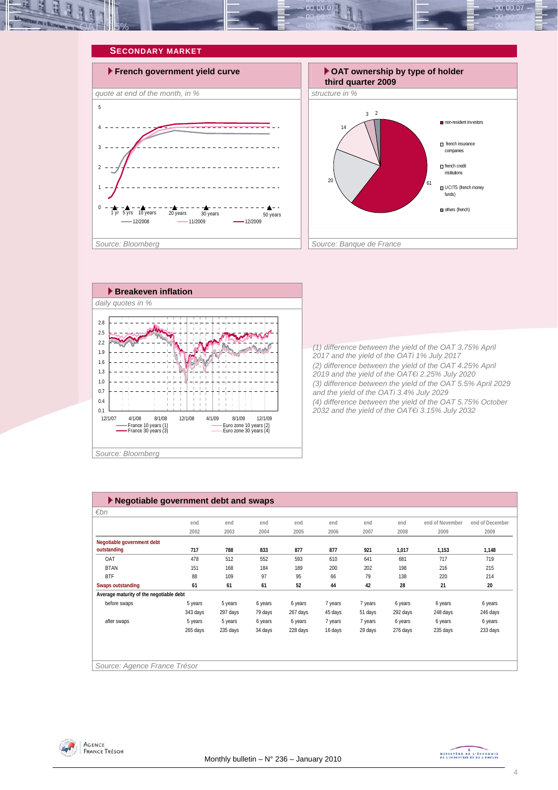







*(1) difference between the yield of the OAT 3.75% April 2017 and the yield of the OATi 1% July 2017 (2) difference between the yield of the OAT 4.25% April 2019 and the yield of the OAT€i 2.25% July 2020 (3) difference between the yield of the OAT 5.5% April 2029 and the yield of the OATi 3.4% July 2029 (4) difference between the yield of the OAT 5.75% October 2032 and the yield of the OAT€i 3.15% July 2032* 

| Negotiable government debt and swaps    |          |          |         |          |         |         |          |                 |                 |  |
|-----------------------------------------|----------|----------|---------|----------|---------|---------|----------|-----------------|-----------------|--|
| $\varepsilon$ bn                        |          |          |         |          |         |         |          |                 |                 |  |
|                                         | end      | end      | end     | end      | end     | end     | end      | end of November | end of December |  |
|                                         | 2002     | 2003     | 2004    | 2005     | 2006    | 2007    | 2008     | 2009            | 2009            |  |
| Negotiable government debt              |          |          |         |          |         |         |          |                 |                 |  |
| outstanding                             | 717      | 788      | 833     | 877      | 877     | 921     | 1,017    | 1,153           | 1,148           |  |
| OAT                                     | 478      | 512      | 552     | 593      | 610     | 641     | 681      | 717             | 719             |  |
| <b>BTAN</b>                             | 151      | 168      | 184     | 189      | 200     | 202     | 198      | 216             | 215             |  |
| <b>BTF</b>                              | 88       | 109      | 97      | 95       | 66      | 79      | 138      | 220             | 214             |  |
| <b>Swaps outstanding</b>                | 61       | 61       | 61      | 52       | 44      | 42      | 28       | 21              | 20              |  |
| Average maturity of the negotiable debt |          |          |         |          |         |         |          |                 |                 |  |
| before swaps                            | 5 years  | 5 years  | 6 years | 6 years  | 7 years | 7 years | 6 years  | 6 years         | 6 years         |  |
|                                         | 343 days | 297 days | 79 days | 267 days | 45 days | 51 days | 292 days | 248 days        | 246 days        |  |
| after swaps                             | 5 years  | 5 years  | 6 years | 6 years  | 7 years | 7 years | 6 years  | 6 years         | 6 years         |  |
|                                         | 265 days | 235 days | 34 days | 228 days | 16 days | 29 days | 276 days | 235 days        | 233 days        |  |
|                                         |          |          |         |          |         |         |          |                 |                 |  |
|                                         |          |          |         |          |         |         |          |                 |                 |  |
|                                         |          |          |         |          |         |         |          |                 |                 |  |
| Source: Agence France Trésor            |          |          |         |          |         |         |          |                 |                 |  |



MINISTRE DE L'ÉCONOMIE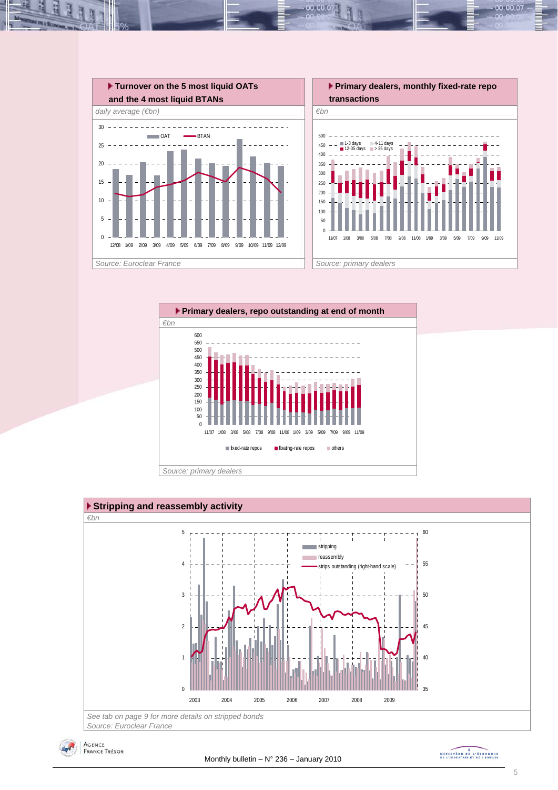

 $00.00.0$ 







MINISTRE DE L'ÉCONOMIE

00.00.07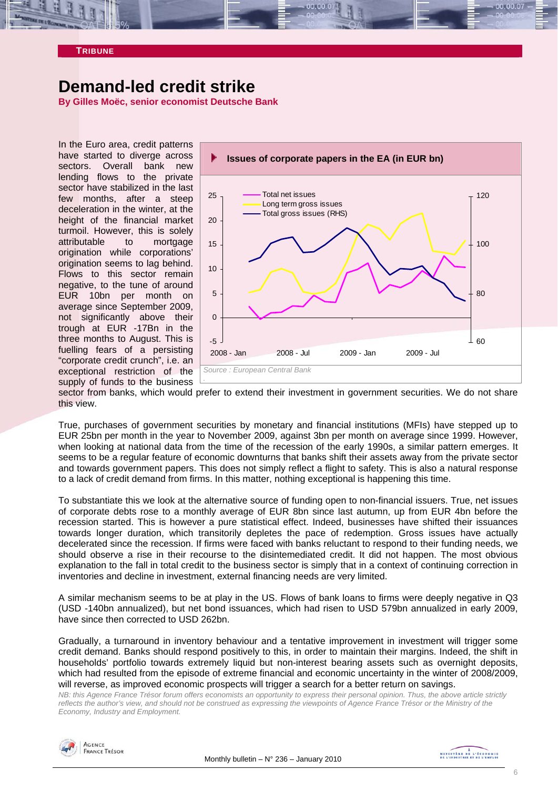

#### **TRIBUNE**

# **Demand-led credit strike**

**By Gilles Moëc, senior economist Deutsche Bank** 

In the Euro area, credit patterns have started to diverge across sectors. Overall bank new lending flows to the private sector have stabilized in the last few months, after a steep deceleration in the winter, at the height of the financial market turmoil. However, this is solely attributable to mortgage origination while corporations' origination seems to lag behind. Flows to this sector remain negative, to the tune of around EUR 10bn per month on average since September 2009, not significantly above their trough at EUR -17Bn in the three months to August. This is fuelling fears of a persisting "corporate credit crunch", i.e. an exceptional restriction of the supply of funds to the business



sector from banks, which would prefer to extend their investment in government securities. We do not share this view.

True, purchases of government securities by monetary and financial institutions (MFIs) have stepped up to EUR 25bn per month in the year to November 2009, against 3bn per month on average since 1999. However, when looking at national data from the time of the recession of the early 1990s, a similar pattern emerges. It seems to be a regular feature of economic downturns that banks shift their assets away from the private sector and towards government papers. This does not simply reflect a flight to safety. This is also a natural response to a lack of credit demand from firms. In this matter, nothing exceptional is happening this time.

To substantiate this we look at the alternative source of funding open to non-financial issuers. True, net issues of corporate debts rose to a monthly average of EUR 8bn since last autumn, up from EUR 4bn before the recession started. This is however a pure statistical effect. Indeed, businesses have shifted their issuances towards longer duration, which transitorily depletes the pace of redemption. Gross issues have actually decelerated since the recession. If firms were faced with banks reluctant to respond to their funding needs, we should observe a rise in their recourse to the disintemediated credit. It did not happen. The most obvious explanation to the fall in total credit to the business sector is simply that in a context of continuing correction in inventories and decline in investment, external financing needs are very limited.

A similar mechanism seems to be at play in the US. Flows of bank loans to firms were deeply negative in Q3 (USD -140bn annualized), but net bond issuances, which had risen to USD 579bn annualized in early 2009, have since then corrected to USD 262bn.

Gradually, a turnaround in inventory behaviour and a tentative improvement in investment will trigger some credit demand. Banks should respond positively to this, in order to maintain their margins. Indeed, the shift in households' portfolio towards extremely liquid but non-interest bearing assets such as overnight deposits, which had resulted from the episode of extreme financial and economic uncertainty in the winter of 2008/2009, will reverse, as improved economic prospects will trigger a search for a better return on savings.

*NB: this Agence France Trésor forum offers economists an opportunity to express their personal opinion. Thus, the above article strictly reflects the author's view, and should not be construed as expressing the viewpoints of Agence France Trésor or the Ministry of the Economy, Industry and Employment.* 

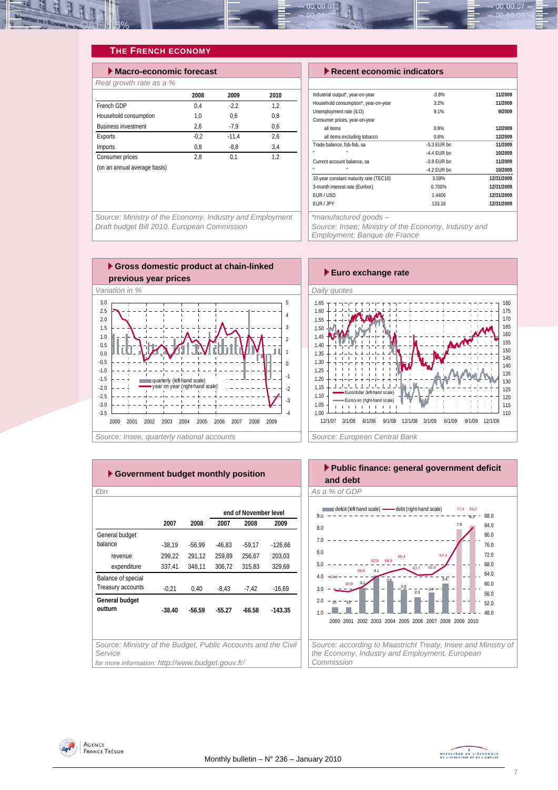

# **THE FRENCH ECONOMY**

| $\blacktriangleright$ Macro-economic forecast |        |         |      |  |  |  |  |  |
|-----------------------------------------------|--------|---------|------|--|--|--|--|--|
| Real growth rate as a %                       |        |         |      |  |  |  |  |  |
|                                               | 2008   | 2009    | 2010 |  |  |  |  |  |
| French GDP                                    | 0.4    | $-2.2$  | 1,2  |  |  |  |  |  |
| Household consumption                         | 1.0    | 0.6     | 0.8  |  |  |  |  |  |
| <b>Business investment</b>                    | 2,6    | $-7.9$  | 0.6  |  |  |  |  |  |
| Exports                                       | $-0.2$ | $-11.4$ | 2.6  |  |  |  |  |  |
| Imports                                       | 0,8    | $-8.8$  | 3.4  |  |  |  |  |  |
| Consumer prices                               | 2.8    | 0.1     | 1.2  |  |  |  |  |  |
| (on an annual average basis)                  |        |         |      |  |  |  |  |  |

**Execute economic indicators** 

| Industrial output*, year-on-year       | $-3.8%$       | 11/2009    |
|----------------------------------------|---------------|------------|
| Household consumption*, year-on-year   | 3.2%          | 11/2009    |
| Unemployment rate (ILO)                | 9.1%          | 9/2009     |
| Consumer prices, year-on-year          |               |            |
| all items                              | 0.9%          | 12/2009    |
| all items excluding tobacco            | 0.8%          | 12/2009    |
| Trade balance, fob-fob, sa             | $-5.3$ FUR bn | 11/2009    |
| ×<br>n,                                | $-4.4$ FUR bn | 10/2009    |
| Current account balance, sa            | $-3.8$ FUR bn | 11/2009    |
| $\mathbf{a}$                           | $-4.2$ FUR bn | 10/2009    |
| 10-year constant maturity rate (TEC10) | 3.59%         | 12/31/2009 |
| 3-month interest rate (Euribor)        | 0.700%        | 12/31/2009 |
| FUR/USD                                | 1.4406        | 12/31/2009 |
| FUR / JPY                              | 133.16        | 12/31/2009 |
|                                        |               |            |

*Source: Ministry of the Economy, Industry and Employment Draft budget Bill 2010, European Commission* 

*\*manufactured goods –* 

*Source: Insee; Ministry of the Economy, Industry and Employment; Banque de France* 





| ► Government budget monthly position                                     |          |          |          |                       |           |  |  |  |  |
|--------------------------------------------------------------------------|----------|----------|----------|-----------------------|-----------|--|--|--|--|
| $\varepsilon$ bn                                                         |          |          |          |                       |           |  |  |  |  |
|                                                                          |          |          |          | end of November level |           |  |  |  |  |
|                                                                          | 2007     | 2008     | 2007     | 2008                  | 2009      |  |  |  |  |
| General budget                                                           |          |          |          |                       |           |  |  |  |  |
| balance                                                                  | $-38,19$ | $-56.99$ | $-46.83$ | $-59.17$              | $-126.66$ |  |  |  |  |
| revenue                                                                  | 299.22   | 291,12   | 259.89   | 256,67                | 203,03    |  |  |  |  |
| expenditure                                                              | 337,41   | 348,11   | 306,72   | 315,83                | 329,69    |  |  |  |  |
| Balance of special                                                       |          |          |          |                       |           |  |  |  |  |
| Treasury accounts                                                        | $-0,21$  | 0,40     | $-8,43$  | -7.42                 | $-16,69$  |  |  |  |  |
| General budget                                                           |          |          |          |                       |           |  |  |  |  |
| outturn                                                                  | $-38.40$ | $-56.59$ | $-55.27$ | $-66.58$              | $-143.35$ |  |  |  |  |
|                                                                          |          |          |          |                       |           |  |  |  |  |
|                                                                          |          |          |          |                       |           |  |  |  |  |
| Source: Ministry of the Budget, Public Accounts and the Civil<br>Service |          |          |          |                       |           |  |  |  |  |
| for more information: http://www.budget.gouv.fr/                         |          |          |          |                       |           |  |  |  |  |



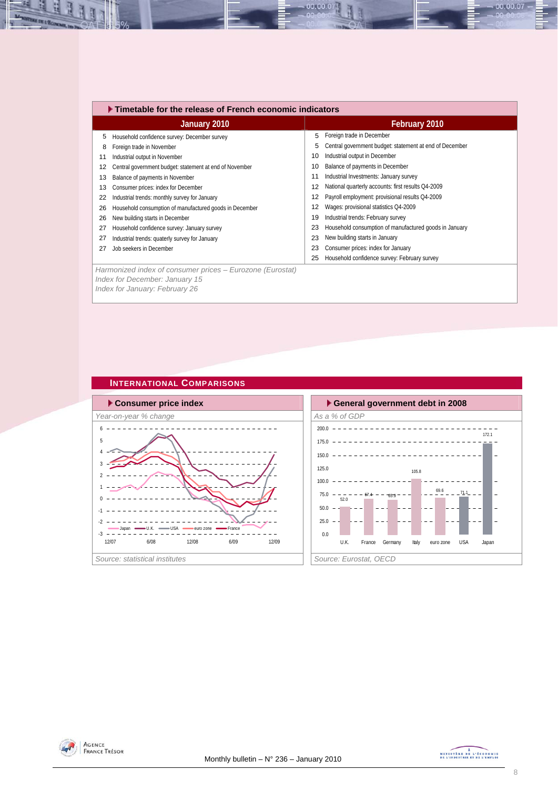|    | ▶ Timetable for the release of French economic indicators |    |                                                         |  |  |  |  |  |  |
|----|-----------------------------------------------------------|----|---------------------------------------------------------|--|--|--|--|--|--|
|    | January 2010                                              |    | February 2010                                           |  |  |  |  |  |  |
| 5  | Household confidence survey: December survey              | 5  | Foreign trade in December                               |  |  |  |  |  |  |
| 8  | Foreign trade in November                                 | 5  | Central government budget: statement at end of December |  |  |  |  |  |  |
| 11 | Industrial output in November                             | 10 | Industrial output in December                           |  |  |  |  |  |  |
| 12 | Central government budget: statement at end of November   | 10 | Balance of payments in December                         |  |  |  |  |  |  |
| 13 | Balance of payments in November                           | 11 | Industrial Investments: January survey                  |  |  |  |  |  |  |
| 13 | Consumer prices: index for December                       | 12 | National quarterly accounts: first results Q4-2009      |  |  |  |  |  |  |
| 22 | Industrial trends: monthly survey for January             | 12 | Payroll employment: provisional results Q4-2009         |  |  |  |  |  |  |
| 26 | Household consumption of manufactured goods in December   | 12 | Wages: provisional statistics Q4-2009                   |  |  |  |  |  |  |
| 26 | New building starts in December                           | 19 | Industrial trends: February survey                      |  |  |  |  |  |  |
| 27 | Household confidence survey: January survey               | 23 | Household consumption of manufactured goods in January  |  |  |  |  |  |  |
| 27 | Industrial trends: quaterly survey for January            | 23 | New building starts in January                          |  |  |  |  |  |  |
| 27 | Job seekers in December                                   | 23 | Consumer prices: index for January                      |  |  |  |  |  |  |
|    |                                                           | 25 | Household confidence survey: February survey            |  |  |  |  |  |  |
|    | Harmonized index of consumer prices – Eurozone (Eurostat) |    |                                                         |  |  |  |  |  |  |
|    | Index for December: January 15                            |    |                                                         |  |  |  |  |  |  |
|    | Index for January: February 26                            |    |                                                         |  |  |  |  |  |  |

00.00.0

# **INTERNATIONAL COMPARISONS**





H



00.00.07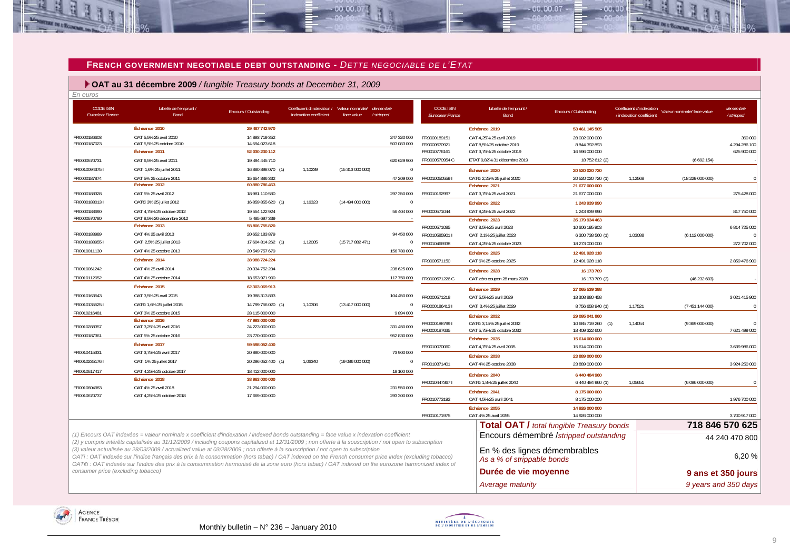#### **FRENCH GOVERNMENT NEGOTIABLE DEBT OUTSTANDING -** *DETTE NEGOCIABLE DE L'ETAT*

 $-00,00,00$ 

 **OAT au 31 décembre 2009** */ fungible Treasury bonds at December 31, 2009*

| En euros                             |                                                                                                                                                                                                                                                                                                      |                                  |                                                                                |                  |                |                                      |                                                            |                                                  |                                                      |                             |                        |
|--------------------------------------|------------------------------------------------------------------------------------------------------------------------------------------------------------------------------------------------------------------------------------------------------------------------------------------------------|----------------------------------|--------------------------------------------------------------------------------|------------------|----------------|--------------------------------------|------------------------------------------------------------|--------------------------------------------------|------------------------------------------------------|-----------------------------|------------------------|
| <b>CODE ISIN</b><br>Euroclear France | Libellé de l'emprunt /<br>Bond                                                                                                                                                                                                                                                                       | Encours / Outstanding            | Coefficient d'indexation / Valeur nominale/ démembré<br>indexation coefficient | face value       | /stripped      | <b>CODE ISIN</b><br>Euroclear France | Libellé de l'emprunt /<br>Bond                             | Encours / Outstanding                            | Coefficient d'indexation<br>/ indexation coefficient | Valeur nominale/ face value | démembré<br>/ stripped |
|                                      | Échéance 2010                                                                                                                                                                                                                                                                                        | 29 487 742 970                   |                                                                                |                  |                |                                      | Échéance 2019                                              | 53 461 145 505                                   |                                                      |                             |                        |
| FR0000186603                         | OAT 5.5% 25 avril 2010                                                                                                                                                                                                                                                                               | 14 893 719 352                   |                                                                                |                  | 247 320 000    | FR0000189151                         | OAT 4.25% 25 avril 2019                                    | 28 002 000 000                                   |                                                      |                             | 360 000                |
| FR0000187023                         | OAT 5,5% 25 octobre 2010                                                                                                                                                                                                                                                                             | 14 594 023 618                   |                                                                                |                  | 503 083 000    | FR0000570921                         | OAT 8,5% 25 octobre 2019                                   | 8 844 392 893                                    |                                                      |                             | 4 294 286 100          |
|                                      | Échéance 2011                                                                                                                                                                                                                                                                                        | 52 030 230 112                   |                                                                                |                  |                | FR0010776161                         | OAT 3,75% 25 octobre 2019                                  | 16 596 000 000                                   |                                                      |                             | 625 900 000            |
| FR0000570731                         | OAT 6,5% 25 avril 2011                                                                                                                                                                                                                                                                               | 19 494 445 710                   |                                                                                |                  | 620 629 900    | FR0000570954 C                       | ETAT 9,82% 31 décembre 2019                                | 18 752 612 (2)                                   |                                                      | (6692154)                   |                        |
| FR00100943751                        | OATi 1,6% 25 juillet 2011                                                                                                                                                                                                                                                                            | 16 880 898 070 (1)               | 1,10239                                                                        | (15 313 000 000) | $\Omega$       |                                      | Échéance 2020                                              | 20 520 020 720                                   |                                                      |                             |                        |
| FR0000187874                         | OAT 5% 25 octobre 2011<br>Échéance 2012                                                                                                                                                                                                                                                              | 15 654 886 332<br>60 880 786 463 |                                                                                |                  | 47 209 000     | FR0010050559                         | OATEi 2,25% 25 juillet 2020                                | 20 520 020 720 (1)                               | 1,12568                                              | (18 229 000 000)            | $\Omega$               |
|                                      |                                                                                                                                                                                                                                                                                                      |                                  |                                                                                |                  |                |                                      | Échéance 2021                                              | 21 677 000 000                                   |                                                      |                             |                        |
| FR0000188328                         | OAT 5% 25 avril 2012                                                                                                                                                                                                                                                                                 | 18 981 110 580                   |                                                                                |                  | 297 350 000    | FR0010192997                         | OAT 3,75% 25 avril 2021                                    | 21 677 000 000                                   |                                                      |                             | 275 428 000            |
| FR00001880131                        | OATEI 3% 25 juillet 2012                                                                                                                                                                                                                                                                             | 16 859 855 620 (1)               | 1,16323                                                                        | (14 494 000 000) | $\overline{0}$ |                                      | Échéance 2022                                              | 1 243 939 990                                    |                                                      |                             |                        |
| FR0000188690<br>FR0000570780         | OAT 4,75% 25 octobre 2012<br>OAT 8.5% 26 décembre 2012                                                                                                                                                                                                                                               | 19 554 122 924<br>5 485 697 339  |                                                                                |                  | 56 404 000     | FR0000571044                         | OAT 8,25% 25 avril 2022                                    | 1 243 939 990                                    |                                                      |                             | 817 750 000            |
|                                      | Échéance 2013                                                                                                                                                                                                                                                                                        | 58 806 755 820                   |                                                                                |                  |                | FR0000571085                         | Échéance 2023<br>OAT 8,5% 25 avril 2023                    | 35 179 934 463<br>10 606 195 903                 |                                                      |                             | 6 814 725 000          |
| FR0000188989                         | OAT 4% 25 avril 2013                                                                                                                                                                                                                                                                                 | 20 652 183 879                   |                                                                                |                  | 94 450 000     | FR0010585901 I                       | OATi 2,1% 25 juillet 2023                                  | 6 300 738 560 (1)                                | 1,03088                                              | (6 112 000 000)             | $\sqrt{ }$             |
| FR00001889551                        | OATi 2,5% 25 juillet 2013                                                                                                                                                                                                                                                                            | 17 604 814 262 (1)               | 1,12005                                                                        | (15717882471)    | $\mathbf{0}$   | FR0010466938                         | OAT 4,25% 25 octobre 2023                                  | 18 273 000 000                                   |                                                      |                             | 272 702 000            |
| FR0010011130                         | OAT 4% 25 octobre 2013                                                                                                                                                                                                                                                                               | 20 549 757 679                   |                                                                                |                  | 156 780 000    |                                      | Échéance 2025                                              | 12 491 928 118                                   |                                                      |                             |                        |
|                                      | Échéance 2014                                                                                                                                                                                                                                                                                        | 38 988 724 224                   |                                                                                |                  |                | FR0000571150                         | OAT 6% 25 octobre 2025                                     | 12 491 928 118                                   |                                                      |                             | 2859476900             |
| FR0010061242                         | OAT 4% 25 avril 2014                                                                                                                                                                                                                                                                                 | 20 334 752 234                   |                                                                                |                  | 238 625 000    |                                      |                                                            |                                                  |                                                      |                             |                        |
| FR0010112052                         | OAT 4% 25 octobre 2014                                                                                                                                                                                                                                                                               | 18 653 971 990                   |                                                                                |                  | 117 750 000    | FR0000571226 C                       | Échéance 2028                                              | 16 173 709                                       |                                                      |                             |                        |
|                                      | Échéance 2015                                                                                                                                                                                                                                                                                        | 62 303 069 913                   |                                                                                |                  |                |                                      | OAT zéro coupon 28 mars 2028                               | 16 173 709 (3)                                   |                                                      | (46232603)                  |                        |
| FR0010163543                         | OAT 3,5% 25 avril 2015                                                                                                                                                                                                                                                                               | 19 388 313 893                   |                                                                                |                  | 104 450 000    |                                      | Échéance 2029                                              | 27 065 539 398                                   |                                                      |                             |                        |
|                                      |                                                                                                                                                                                                                                                                                                      |                                  | 1,10306                                                                        |                  |                | FR0000571218                         | OAT 5,5% 25 avril 2029                                     | 18 308 880 458                                   |                                                      |                             | 3 021 415 900          |
| FR00101355251                        | OATEI 1,6% 25 juillet 2015                                                                                                                                                                                                                                                                           | 14 799 756 020 (1)               |                                                                                | (13417000000)    | $\overline{0}$ | FR00001864131                        | OATi 3,4% 25 juillet 2029                                  | 8756658940 (1)                                   | 1,17521                                              | (7 451 144 000)             | $\mathbf{C}$           |
| FR0010216481                         | OAT 3% 25 octobre 2015<br>Échéance 2016                                                                                                                                                                                                                                                              | 28 115 000 000<br>47 993 000 000 |                                                                                |                  | 9894000        |                                      | Échéance 2032                                              | 29 095 041 860                                   |                                                      |                             |                        |
| FR0010288357                         | OAT 3,25% 25 avril 2016                                                                                                                                                                                                                                                                              | 24 223 000 000                   |                                                                                |                  | 331 450 000    | FR00001887991<br>FR0000187635        | OATEI 3,15% 25 juillet 2032                                | 10 685 719 260<br>(1)                            | 1,14054                                              | (9369000000)                |                        |
| FR0000187361                         | OAT 5% 25 octobre 2016                                                                                                                                                                                                                                                                               | 23 770 000 000                   |                                                                                |                  | 952 830 000    |                                      | OAT 5,75% 25 octobre 2032<br>Échéance 2035                 | 18 409 322 600<br>15 614 000 000                 |                                                      |                             | 7621499000             |
|                                      | Échéance 2017                                                                                                                                                                                                                                                                                        | 59 598 052 400                   |                                                                                |                  |                | FR0010070060                         | OAT 4,75% 25 avril 2035                                    | 15 614 000 000                                   |                                                      |                             | 3 639 986 000          |
| FR0010415331                         | OAT 3,75% 25 avril 2017                                                                                                                                                                                                                                                                              | 20 890 000 000                   |                                                                                |                  | 73 900 000     |                                      | Échéance 2038                                              |                                                  |                                                      |                             |                        |
| FR00102351761                        | OATi 1% 25 juillet 2017                                                                                                                                                                                                                                                                              | 20 296 052 400 (1)               | 1,06340                                                                        | (19 086 000 000) | $\overline{0}$ | FR0010371401                         | OAT 4% 25 octobre 2038                                     | 23 889 000 000<br>23 889 000 000                 |                                                      |                             | 3 924 250 000          |
| FR0010517417                         | OAT 4.25% 25 octobre 2017                                                                                                                                                                                                                                                                            | 18 412 000 000                   |                                                                                |                  | 18 100 000     |                                      |                                                            |                                                  |                                                      |                             |                        |
|                                      | Échéance 2018                                                                                                                                                                                                                                                                                        | 38 963 000 000                   |                                                                                |                  |                |                                      | Échéance 2040                                              | 6 440 484 960                                    |                                                      |                             |                        |
| FR0010604983                         | OAT 4% 25 avril 2018                                                                                                                                                                                                                                                                                 | 21 294 000 000                   |                                                                                |                  | 231 550 000    | FR00104473671                        | OATEi 1,8% 25 juillet 2040                                 | 6 440 484 960 (1)                                | 1,05651                                              | (6096000000)                |                        |
| FR0010670737                         | OAT 4.25% 25 octobre 2018                                                                                                                                                                                                                                                                            | 17 669 000 000                   |                                                                                |                  | 293 300 000    |                                      | Échéance 2041                                              | 8 175 000 000                                    |                                                      |                             |                        |
|                                      |                                                                                                                                                                                                                                                                                                      |                                  |                                                                                |                  |                | FR0010773192                         | OAT 4,5% 25 avril 2041                                     | 8 175 000 000                                    |                                                      |                             | 1 976 700 000          |
|                                      |                                                                                                                                                                                                                                                                                                      |                                  |                                                                                |                  |                | FR0010171975                         | Échéance 2055<br>OAT 4% 25 avril 2055                      | 14 926 000 000<br>14 926 000 000                 |                                                      |                             | 3 700 917 000          |
|                                      |                                                                                                                                                                                                                                                                                                      |                                  |                                                                                |                  |                |                                      |                                                            |                                                  |                                                      |                             |                        |
|                                      |                                                                                                                                                                                                                                                                                                      |                                  |                                                                                |                  |                |                                      |                                                            | <b>Total OAT / total fungible Treasury bonds</b> |                                                      |                             | 718 846 570 625        |
|                                      | (1) Encours OAT indexées = valeur nominale x coefficient d'indexation / indexed bonds outstanding = face value x indexation coefficient<br>(2) y compris intérêts capitalisés au 31/12/2009 / including coupons capitalized at 12/31/2009 ; non offerte à la souscription / not open to subscription |                                  |                                                                                |                  |                |                                      |                                                            | Encours démembré /stripped outstanding           |                                                      |                             | 44 240 470 800         |
|                                      | (3) valeur actualisée au 28/03/2009 / actualized value at 03/28/2009 ; non offerte à la souscription / not open to subscription<br>OATi : OAT indexée sur l'indice français des prix à la consommation (hors tabac) / OAT indexed on the French consumer price index (excluding tobacco)             |                                  |                                                                                |                  |                |                                      | En % des lignes démembrables<br>As a % of strippable bonds |                                                  |                                                      |                             | 6,20%                  |
| consumer price (excluding tobacco)   | OAT€i : OAT indexée sur l'indice des prix à la consommation harmonisé de la zone euro (hors tabac) / OAT indexed on the eurozone harmonized index of                                                                                                                                                 |                                  |                                                                                |                  |                |                                      | Durée de vie moyenne                                       |                                                  |                                                      |                             | 9 ans et 350 jours     |
|                                      |                                                                                                                                                                                                                                                                                                      |                                  |                                                                                |                  |                |                                      | Average maturity                                           |                                                  |                                                      |                             | 9 years and 350 days   |





 $.00, 00, 07$ 

nn nn